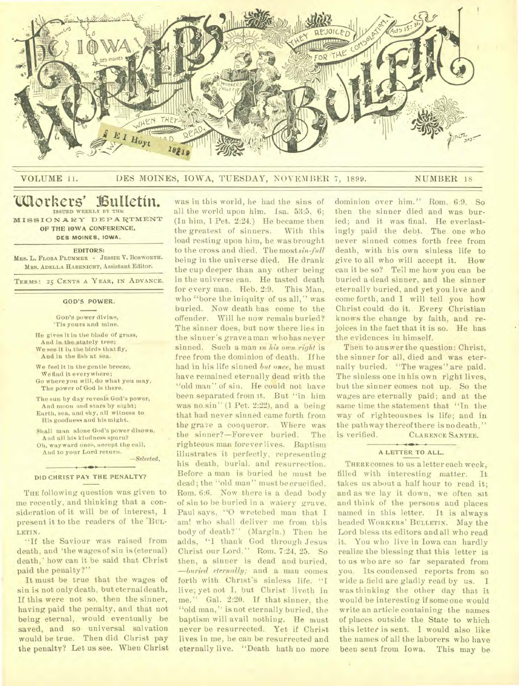

# VOLUME 11. DES MOINES, IOWA, TUESDAY, NOVEMBER 7, 1899. NUMBER 18

# **Chorkers' Bulletin. ISSUED WEEKLY BY THE**

**MISSION ARY DEPARTMENT OF THE IOWA CONFERENCE, DES MOINES, IOWA.** 

**EDITORS:** 

**Ma& L. FLORA PLUMMER - JESSIE V. BOSWORTH. MKS. ADELLA HABENICHT,** Assistant Editor.

**TERMS: 25 CENTS A YEAR, IN ADVANCE.** 

#### **GOD'S POWER.**

**GOD'S** power divine, 'Tis yours and mine.

- He gives It in the blade of grass, And in the.stately tree; We see it in the birds that fly, And in the fish at sea.
- We feel it in the gentle breeze. We find It everywhere;
- Go where you will, do what you may, The power of God is there.
- The sun by day reveals God's power, And moon and stars by night; Earth, sea, and sky, all witness to
- His goodness and his might. Shall man alone God's power disown, •

And all his kindness spurn? Oh, wayward ones, accept the call, And **to** your Lord return.

*—Selected.* 

#### $+$   $\rightarrow$ DID CHRIST PAY THE PENALTY?

THE following question was given to me recently, and thinking that a consideration of it will be of interest. 1 present it to the readers of the BUL-LETIN.

"If the Saviour was raised from death, and 'the wagesof sin is (eternal) death,' how can it be said that Christ paid the penalty?"

It must be true that the wages of sin is not only death, but eternal death. If this were not so, then the sinner, having paid the penalty, and that not being eternal, would eventually be saved, and so universal salvation would be true. Then did Christ pay the penalty? Let us see. When Christ

was in this world, he had the sins of all the world upon him. Isa. 53:5, 6; (In him, 1 Pet. 2:24.) He became then the greatest of sinners. With this load resting upon him, he was brought to the cross and died. The most sin-full being in the universe died. He drank the cup deeper than any other being in the universe can. He tasted death for every man. Heb. 2:9. This Man, who "bore the iniquity of us all," was buried. Now death has come to the offender. Will he now remain buried? The sinner does, but now there lies in the sinner's grave a man who has never sinned. Such a man en *his own right* is free from the dominion of death. If he had in his life sinned *but once,* he must have remained eternally dead with the "old man" of sin. He could not have been separated from it. But "in him was no sin" (1 Pet. 2:22), and a being that had never sinned came forth from the grave a conqueror. Where was the sinner?—Forever buried. The righteous man forever lives. Baptism illustrates it perfectly, representing his death, burial. and resurrection. Before a man is buried he must be dead; the "old man" must be crucified. Born. 6:6. Now there is a dead body of sin to he buried in a watery grave. Paul says. "0 wretched man that I am! who shall deliver me from this body of death?" (Margin.) Then he adds, "I thank God through Jesus Christ our Lord." Rom. 7:24, 25. So then, a sinner is dead and buried, *—buried eternally;* and a man comes forth with Christ's sinless life. "I live; yet not I. but Christ liveth in me." Gal. 2:20. If that sinner, the "old man," is not eternally buried, the baptism will avail nothing. He must never be resurrected. Yet if Christ lives in me, he can be resurrected and eternally live. "Death hath no more dominion over him." Rom. 6:9. So then the sinner died and was buried; and it was final. He everlastingly paid the debt. The one who never sinned comes forth free from death, with his own sinless life to give to all who will accept it. How can it be so? Tell me how you can be buried a dead sinner, and the sinner eternally buried, and yet you live and come forth, and I will tell you how Christ could do it. Every Christian knows the change by faith, and rejoices in the fact that it is so. He has the evidences in himself.

Then to answer the question: Christ, the sinner for all, died and was eternally buried. "The wages" are paid. The sinless one in his own right lives, but the sinner comes not up. So the wages are eternally paid; and at the same time the statement that "In the way of righteousnes is life; and in the path way thereof there is no death," is verified. CLARENCE SANTEE.

#### $\leftarrow$ **A LETTER TO ALL.**

THERE comes to us a letter each week, filled with interesting matter. It takes us about a half hour to read it; and as we lay it down, we often sit and think of the persons and places named in this letter. It is always headed WORKERS' BULLETIN. May the Lord bless its editors and all who read it. You who live in Iowa can hardly realize the blessing that this letter is to us who are so far separated from you. Its condensed reports from so wide a field are gladly read by us. I was thinking the other day that it would be interesting if someone would write an article containing the names of places outside the State to which this letter is sent. I would also like the names of all the laborers who have been sent from Iowa. This may be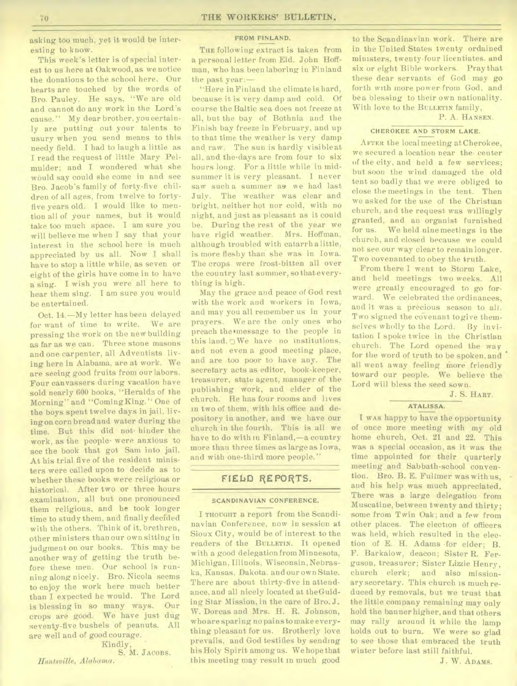asking too much, yet it would be interesting to know.

This week's letter is of special interest to us here at Oakwood, as we notice the donations to the school here. Our hearts are touched by the words of Bro. Pauley. He says, "We are old and cannot do any work in the Lord's cause." My dear brother, you certainly are putting out your talents to usury when you send means to this needy field. I had to laugh a little as I read the request of little Mary Pelmulder; and I wondered what she would say could she come in and see Bro. Jacob's family of forty-five children of all ages, from twelve to fortyfive years old. I would like to mention all of your names, but it would take too much space. I am sure you will believe me when I say that your interest in the school here is much appreciated by us all. Now I shall have to stop a little while, as seven or eight of the girls have come in to have a sing. I wish you were all here to hear them sing. I am sure you would be entertained.

Oct. 14.—My letter has been delayed for want of time to write. We are pressing the work on the new building as far as we can. Three stone masons and one carpenter, all Adventists living here in Alabama, are at work. We are seeing good fruits from our labors. Four canvassers during vacation have sold nearly 600 books, "Heralds of the Morning" and "ComingKing." One of the boys spent twelve days in jail, livingon corn bread and water during the time. But this did not- hinder the work, as the people• were anxious to see the book that got Sam into jail. At his trial five of the resident ministers were called upon to decide as to whether these books were religious or historical. After two or three hours examination, all but one pronounced them religious, and he took longer time to study them, and finally decided with the others. Think of it, brethren, other ministers than our own sitting in judgment on our books. This may be another way of getting the truth before these men. Our school is running along nicely. Bro. Nicola seems to enjoy the work here much better than I expected he would. The Lord is blessing in so many ways. Our crops are good. We have just dug seventy-five bushels of peanuts. All are well and of good courage.

Kindly, S. M. JACOBS.

*Huntsville, Alabama.* 

#### FROM FINLAND.

THE following extract is taken from a personal letter from Eld. John Hoffman, who has been laboring in Finland the past year:—

"Here in Finland the climate is hard, because it is very damp and cold. Of course the Baltic sea does not freeze at all, but the bay of Bothnia and the Finish bay freeze in February, and up to that time the weather is very damp and raw. The sun is hardly visible at all, and the.days are from four to six hours long. For a little while in midsummer it is very pleasant. I never saw such a summer as we had last July. The weather was clear and bright, neither hot nor cold, with no night, and just as pleasant as it could be. During the rest of the year we have rigid weather. Mrs. Hoffman, although troubled with catarrh a little, is more fleshy than she was in Iowa. The crops were frost-bitten all over the country last summer, so that everything is high.

May the grace and peace of God rest with the work and workers in Iowa, and may you all remember us in your prayers. We are the only ones who preach the message to the people in this land.  $\nabla$  We have no institutions. and not even a good meeting place, and are too poor to have any. The secretary acts as editor, book-keeper, treasurer, state agent, manager of the publishing work, and elder of the church. He has four rooms and lives in two of them, with his office and depository in another, and we have our church in the fourth. This is all we have to do with in Finland,—a country more than three times as large as Iowa, and with one-third more people."

# FIELD REPORTS.

#### **SCANDINAVIAN CONFERENCE.**

I THOUGHT a report from the Scandinavian Conference, now in session at Sioux City, would be of interest to the readers of the BULLETIN. It opened with a good delegation from Minnesota, Michigan, Illinois, Wisconsin, Nebraska, Kansas, Dakota. and our own State. There are about thirty-five in attendance. and all nicely located at theGuiding Star Mission, in the care of Bro. J. W. Dorcas and Mrs. H. R. Johnson, who are sparing no pains to make everything pleasant for us. Brotherly love prevails, and God testifies by sending his Holy Spirit among us. We hope that this meeting may result in much good

to the Scandinavian work. There are in the United States twenty ordained ministers, twenty-four licentiates. and six or eight Bible workers. Pray that these dear servants of God may go forth with more power from God, and be a blessing to their own nationality. With love to the BULLETIN family,

## P. A. HANSEN.

# CHEROKEE **AND STORM LAKE.**

AFTER the local meeting at Cherokee, we secured a location near the• center of the city, and held a few services; but soon the wind damaged the old tent so badly that we were obliged to close the meetings in the tent. Then we asked for the use of the Christian church, and the request was willingly granted, and an organist furnished for us. We held nine meetings in the church, and closed because we could not see our way clear to remain longer. Two covenanted to obey the truth.

From there I went to Storm Lake, and held meetings two weeks. All were greatly encouraged to go forward. We celebrated the ordinances, and it was a precious season to all. Two signed the covenant to give themselves wholly to the Lord. By invitation I spoke twice in the Christian church. The Lord opened the way for the word of truth to be spoken, and all went away feeling more friendly toward our people. We believe the Lord will bless the seed sown.

J. S. HART.

#### **ATALISSA.**

I wAs happy to have the opportunity of once more meeting with my old home church, Oct. 21 and 22. This was a special occasion, as it was the time appointed for their quarterly meeting and Sabbath-school convention. Bro. B. E. Fullmer was with us, and his help was much appreciated. There was a large delegation from Muscatine, between twenty and thirty; some from Twin Oak; and a few from other places. The election of officers was held, which resulted in the election of E. H. Adams •for elder; B. F. Barkalow, deacon; Sister R. Ferguson, treasurer; Sister Lizzie Henry, church clerk; and also missionary secretary. This church is much reduced by removals, but we trust that the little company remaining may only hold the banner higher, and that others may rally around it while the lamp holds out to burn. We were so glad to see those that embraced the truth winter before last still faithful.

J. W. ADAMS.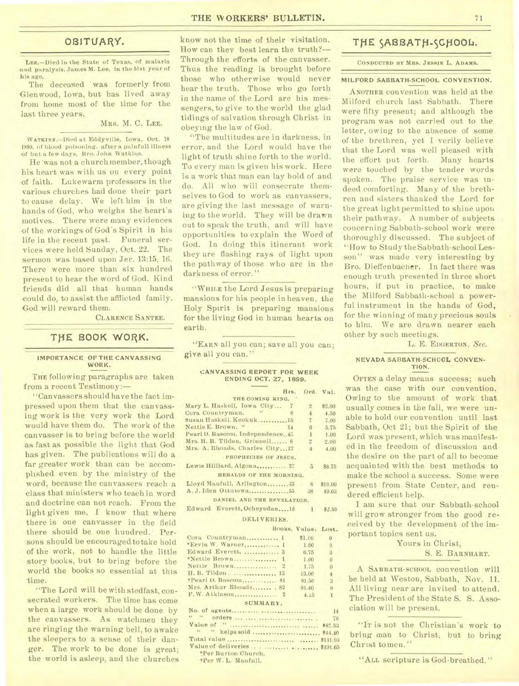# OBITUARY.

LEE.-Died in the State of Texas, of malaria and paralysis, James M. Lee, in the 51st year of his age,

The deceased was formerly from Glenwood, Iowa, but has lived away from home most of the time for the last three years.

#### MRS. M. C. **LEE.**

WATKINS.-Died at Eddyville, Iowa, Oct. 18 1899. of blood poisoning. after a painfull illness of but a few days, Bro. John Watkins.

He 'was not a church member, though his heart was with us on every point -of faith. Lukewarm professors in the various churches had done their part to cause delay. We left him in the hands of God, who weighs the heart's motives. There were many evidences of the workings of God's Spirit in his life in the recent past. Funeral services were held Sunday, Oct. 22. The sermon was based upon Jer. 13:15, 16. There were more than six hundred present to hear the word of God. Kind friends did all that human hands could do, to assist the afflicted family. God will reward them.

CLARENCE SANTEE.

# **TIIE 800K WORK.**

#### **IMPORTANCE OF THE CANVASSING WORK.**

**THE** following paragraphs are taken from a recent Testimony:-

" Can vassers should have the fact impressed upon them that the canvassing work is the very work the Lord would have them do. The work of the -canvasser is to bring before the world as fast as possible the light that God has given. The publications will do a far greater work than can be accomplished even by the ministry of the word, because the canvassers reach a class that ministers who teach in word and doctrine can not reach. From the light given me, I know that where there is one canvasser in the field there should be one hundred. Persons should be encouraged to take hold of the work, not to handle the little story books, but to bring before the world the books so essential at this time.

"The Lord will be with stedfast, consecrated workers. The time has come when a large work should be done by the canvassers. As watchmen they are ringing the warning bell, to awake the sleepers to a sense of their danger. The work to be done is great; the world is asleep, and the churches

know not the time of their visitation. How can they best learn the truth?-Through the efforts of the canvasser. Thus the reading is brought before those who otherwise would never hear the truth. Those who go forth in the name of the Lord are his messengers, to give to the world the glad tidings of salvation through Christ in obeying the law of God.

"The multitudes are in darkness, in error, and the Lord would have the light of truth shine forth to the world. To every man is given his work. Here is a work that man can lay hold of and do. All who will consecrate themselves to God to work as canvassers, are giving the last message of warning to the world. They will be drawn out to speak the truth, and will have opportunities to explain the Word of God. In doing this itinerant work they are flashing rays of light upon the pathway of those who are in the darkness of error."

"WHILE the Lord Jesus is preparing mansions for his people in heaven, the Holy Spirit is preparing mansions for the living God in human hearts on earth.

**"EARN** all you can; save all you can; give all you can."

#### **CANVASSING REPORT FOR WEEK ENDING OCT. 27. 1899.**

| Hrs.<br>Ord. Val.                                            |                |  |  |  |  |  |
|--------------------------------------------------------------|----------------|--|--|--|--|--|
| THE COMING KING.                                             |                |  |  |  |  |  |
| Mary L. Haskell, Iowa City 7<br>$\overline{2}$               | \$2.00         |  |  |  |  |  |
| $\sim$ $\sim$<br>Cora Countryman,<br>$\frac{4}{3}$<br>-8     | 4.50           |  |  |  |  |  |
| Susan Haskell, Keokuk 15<br>$\overline{7}$                   | 7.00           |  |  |  |  |  |
| Nettie E. Brown. "<br>14<br>6<br><b>Carl College College</b> | 5.75           |  |  |  |  |  |
| Pearl D. Bascom, Independence. 45<br>$\mathbf{1}$            | 1.00           |  |  |  |  |  |
| Mrs. H. B. Tilden, Grinnell 8<br>$\overline{a}$              | 2.00           |  |  |  |  |  |
| Mrs. A. Rhoads, Charles City12<br>4                          | 4.00           |  |  |  |  |  |
| PROPHECIES OF JESUS.                                         |                |  |  |  |  |  |
| Lewis Hilliard, Algona 27<br>5                               | 88.75          |  |  |  |  |  |
| HERALDS OF THE MORNING.                                      |                |  |  |  |  |  |
| Lloyd Manfull, Arlington33<br>$-8$                           | \$10.00        |  |  |  |  |  |
| 38                                                           | 40.03          |  |  |  |  |  |
| DANIEL AND THE REVELATION.                                   |                |  |  |  |  |  |
| Edward Everett, Ocheyedan18 1                                | \$2.50         |  |  |  |  |  |
| DELIVERIES.                                                  |                |  |  |  |  |  |
| Books, Value, Lost.                                          |                |  |  |  |  |  |
| Cora Countryman 1<br>\$1.00                                  | $\overline{0}$ |  |  |  |  |  |
| *Ervin W. Warner 1<br>1.00                                   | $\Omega$       |  |  |  |  |  |
| Edward Everett,  3<br>6.75                                   | 3              |  |  |  |  |  |
| 1.00                                                         | $0^{\circ}$    |  |  |  |  |  |
| Nettie Brown 2<br>1.75                                       | $\mathbf{0}$   |  |  |  |  |  |
| H. B. Tilden.  13<br>13.00                                   | 4              |  |  |  |  |  |
| +Pearl D. Bascom 81<br>81.50                                 | 3 <sup>1</sup> |  |  |  |  |  |
| Mrs. Arthur Rhoads 82<br>81.40                               | $8 -$          |  |  |  |  |  |
| 4.45                                                         | T.             |  |  |  |  |  |
| SUMMARY.                                                     |                |  |  |  |  |  |
|                                                              | 14             |  |  |  |  |  |
|                                                              |                |  |  |  |  |  |
| 69. 14<br>Value of "                                         | 78             |  |  |  |  |  |

" " helps sold \$44.40 Total value \$131.93

\*Per Burton Church. tPer W. L. Manful'.

Value of deliveries . . ......... . \$191.65

# THE **SABBATH-SCHOOL.**

#### CONDUCTED BY MRS. JESSIE L. ADAMS.

## **MILFORD SABBATH-SCHOOL CONVENTION.**

ANOTHER convention was held at the Milford church last Sabbath. There were fifty present; and although the program was not carried out to the letter, owing to the absence of some of the brethren, yet I verily believe that the Lord was well pleased with the effort put forth. Many hearts were touched by the tender words spoken. The praise service was indeed comforting. Many of the brethren and sisters thanked the Lord for the great light permitted to shine upon their pathway. A number of subjects concerning Sabbath-school work were thoroughly discussed. The subject of "How to Study the Sabbath-school Lesson" was made very interesting by Bro. Dieffenbacher. In fact there was enough truth presented in three short hours, if put in practice, to make the Milford Sabbath-school a powerful instrument in the hands of God, for the winning of many precious souls to him. We are drawn nearer each other by such meetings.

L. E. EDGERTON, *SeC.* 

#### **NEVADA SABBATH-SCHOOL CONVEN-TION.**

OFTEN a delay means success; such was the case with our convention. Owing to the amount of work that usually comes in the fall, we were unable to hold our convention until last Sabbath, Oct 21; but the Spirit of the Lord was present, which was manifested in the freedom of discussion and the desire on the part of all to become acquainted with the best methods to make the school a success. Some were present from State Center, and rendered efficient help.

I am sure that our Sabbath-school will grow stronger from the good received by the development of the important topics sent us.

> Yours in Christ, S. E. **BARNHART.**

A SABBATH-SCHOOL convention will be held at Weston, Sabbath, Nov. 11. All living near are invited to attend. The President of the State S. S. Association will be present.

"IT is not the Christian's work to bring man to Christ, but to bring Christ to men."

"ALL scripture is God-breathed."